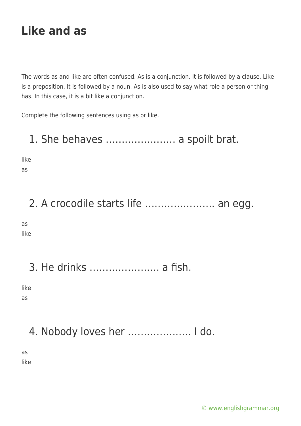The words as and like are often confused. As is a conjunction. It is followed by a clause. Like is a preposition. It is followed by a noun. As is also used to say what role a person or thing has. In this case, it is a bit like a conjunction.

Complete the following sentences using as or like.

### 1. She behaves …………………. a spoilt brat.

like

as

# 2. A crocodile starts life …………………. an egg.

as like

3. He drinks …………………. a fish.

like as

4. Nobody loves her ……………….. I do.

as like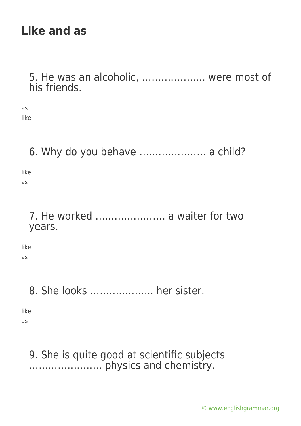5. He was an alcoholic, ……………….. were most of his friends.

as like

### 6. Why do you behave ………………… a child?

like as

> 7. He worked …………………. a waiter for two years.

like

as

### 8. She looks ……………….. her sister.

like

as

### 9. She is quite good at scientific subjects ………………….. physics and chemistry.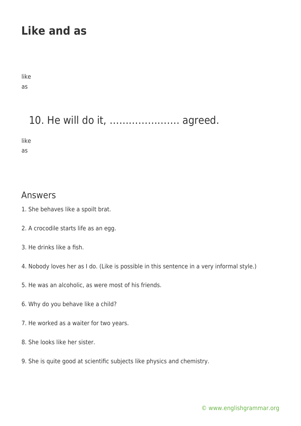like as

# 10. He will do it, …………………. agreed.

like

as

#### Answers

- 1. She behaves like a spoilt brat.
- 2. A crocodile starts life as an egg.
- 3. He drinks like a fish.
- 4. Nobody loves her as I do. (Like is possible in this sentence in a very informal style.)
- 5. He was an alcoholic, as were most of his friends.
- 6. Why do you behave like a child?
- 7. He worked as a waiter for two years.
- 8. She looks like her sister.
- 9. She is quite good at scientific subjects like physics and chemistry.